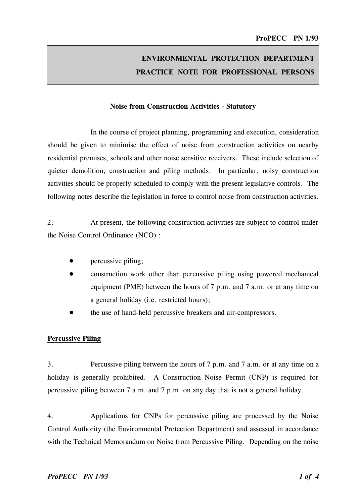# ENVIRONMENTAL PROTECTION DEPARTMENT PRACTICE NOTE FOR PROFESSIONAL PERSONS

#### Noise from Construction Activities - Statutory

In the course of project planning, programming and execution, consideration should be given to minimise the effect of noise from construction activities on nearby residential premises, schools and other noise sensitive receivers. These include selection of quieter demolition, construction and piling methods. In particular, noisy construction activities should be properly scheduled to comply with the present legislative controls. The following notes describe the legislation in force to control noise from construction activities.

2. At present, the following construction activities are subject to control under the Noise Control Ordinance (NCO) :

- • percussive piling;
- • construction work other than percussive piling using powered mechanical equipment (PME) between the hours of 7 p.m. and 7 a.m. or at any time on a general holiday (i.e. restricted hours);
- • the use of hand-held percussive breakers and air-compressors.

#### **Percussive Piling**

3. Percussive piling between the hours of 7 p.m. and 7 a.m. or at any time on a holiday is generally prohibited. A Construction Noise Permit (CNP) is required for percussive piling between 7 a.m. and 7 p.m. on any day that is not a general holiday.

4. Applications for CNPs for percussive piling are processed by the Noise Control Authority (the Environmental Protection Department) and assessed in accordance with the Technical Memorandum on Noise from Percussive Piling. Depending on the noise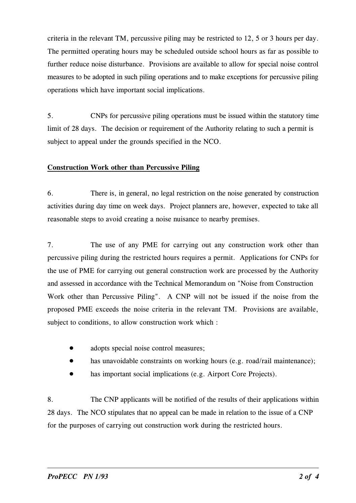criteria in the relevant TM, percussive piling may be restricted to 12, 5 or 3 hours per day. The permitted operating hours may be scheduled outside school hours as far as possible to further reduce noise disturbance. Provisions are available to allow for special noise control measures to be adopted in such piling operations and to make exceptions for percussive piling operations which have important social implications.

5. CNPs for percussive piling operations must be issued within the statutory time limit of 28 days. The decision or requirement of the Authority relating to such a permit is subject to appeal under the grounds specified in the NCO.

#### Construction Work other than Percussive Piling

6. There is, in general, no legal restriction on the noise generated by construction activities during day time on week days. Project planners are, however, expected to take all reasonable steps to avoid creating a noise nuisance to nearby premises.

7. The use of any PME for carrying out any construction work other than percussive piling during the restricted hours requires a permit. Applications for CNPs for the use of PME for carrying out general construction work are processed by the Authority and assessed in accordance with the Technical Memorandum on "Noise from Construction Work other than Percussive Piling". A CNP will not be issued if the noise from the proposed PME exceeds the noise criteria in the relevant TM. Provisions are available, subject to conditions, to allow construction work which :

- •adopts special noise control measures;
- •has unavoidable constraints on working hours (e.g. road/rail maintenance);
- $\bullet$ has important social implications (e.g. Airport Core Projects).

8. The CNP applicants will be notified of the results of their applications within 28 days. The NCO stipulates that no appeal can be made in relation to the issue of a CNP for the purposes of carrying out construction work during the restricted hours.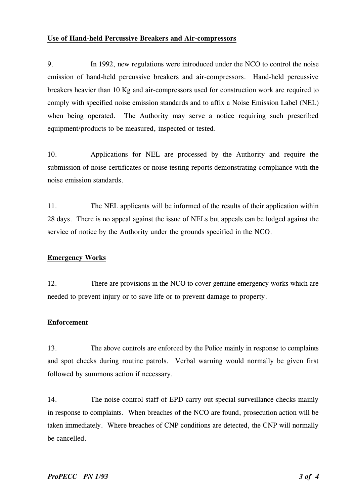#### Use of Hand-held Percussive Breakers and Air-compressors

9. In 1992, new regulations were introduced under the NCO to control the noise emission of hand-held percussive breakers and air-compressors. Hand-held percussive breakers heavier than 10 Kg and air-compressors used for construction work are required to comply with specified noise emission standards and to affix a Noise Emission Label (NEL) when being operated. The Authority may serve a notice requiring such prescribed equipment/products to be measured, inspected or tested.

10. Applications for NEL are processed by the Authority and require the submission of noise certificates or noise testing reports demonstrating compliance with the noise emission standards.

11. The NEL applicants will be informed of the results of their application within 28 days. There is no appeal against the issue of NELs but appeals can be lodged against the service of notice by the Authority under the grounds specified in the NCO.

## **Emergency Works**

12. There are provisions in the NCO to cover genuine emergency works which are needed to prevent injury or to save life or to prevent damage to property.

## Enforcement

13. The above controls are enforced by the Police mainly in response to complaints and spot checks during routine patrols. Verbal warning would normally be given first followed by summons action if necessary.

14. The noise control staff of EPD carry out special surveillance checks mainly in response to complaints. When breaches of the NCO are found, prosecution action will be taken immediately. Where breaches of CNP conditions are detected, the CNP will normally be cancelled.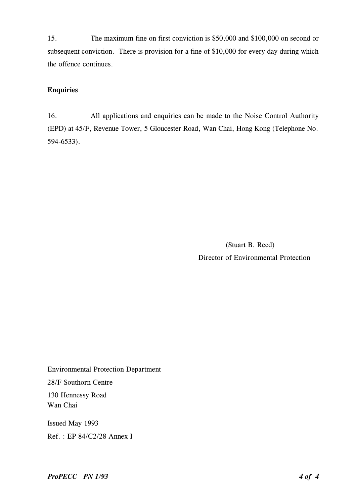15. The maximum fine on first conviction is �50,000 and �100,000 on second or subsequent conviction. There is provision for a fine of \$10,000 for every day during which the offence continues.

# **Enquiries**

16. All applications and enquiries can be made to the Noise Control Authority (EPD) at 45/F, Revenue Tower, 5 Gloucester Road, Wan Chai, Hong Kong (Telephone No. 594-6533).

> (Stuart B. Reed) Director of Environmental Protection

Environmental Protection Department 28/F Southorn Centre 130 Hennessy Road Wan Chai Issued May 1993

�ef. : EP 84/C2/28 Annex I